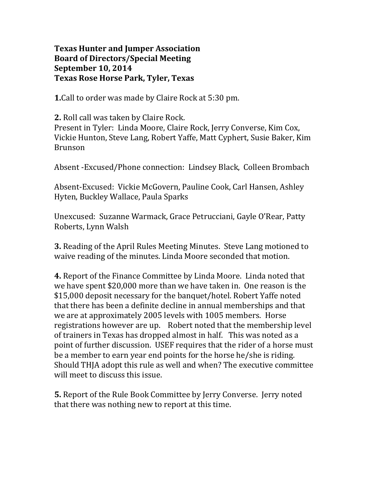## **Texas Hunter and Jumper Association Board of Directors/Special Meeting September 10, 2014 Texas Rose Horse Park, Tyler, Texas**

**1.**Call to order was made by Claire Rock at 5:30 pm.

**2.** Roll call was taken by Claire Rock.

Present in Tyler: Linda Moore, Claire Rock, Jerry Converse, Kim Cox, Vickie Hunton, Steve Lang, Robert Yaffe, Matt Cyphert, Susie Baker, Kim Brunson

Absent -Excused/Phone connection: Lindsey Black, Colleen Brombach

Absent-Excused: Vickie McGovern, Pauline Cook, Carl Hansen, Ashley Hyten, Buckley Wallace, Paula Sparks

Unexcused: Suzanne Warmack, Grace Petrucciani, Gayle O'Rear, Patty Roberts, Lynn Walsh

**3.** Reading of the April Rules Meeting Minutes. Steve Lang motioned to waive reading of the minutes. Linda Moore seconded that motion.

**4.** Report of the Finance Committee by Linda Moore. Linda noted that we have spent \$20,000 more than we have taken in. One reason is the \$15,000 deposit necessary for the banquet/hotel. Robert Yaffe noted that there has been a definite decline in annual memberships and that we are at approximately 2005 levels with 1005 members. Horse registrations however are up. Robert noted that the membership level of trainers in Texas has dropped almost in half. This was noted as a point of further discussion. USEF requires that the rider of a horse must be a member to earn year end points for the horse he/she is riding. Should THJA adopt this rule as well and when? The executive committee will meet to discuss this issue.

**5.** Report of the Rule Book Committee by Jerry Converse. Jerry noted that there was nothing new to report at this time.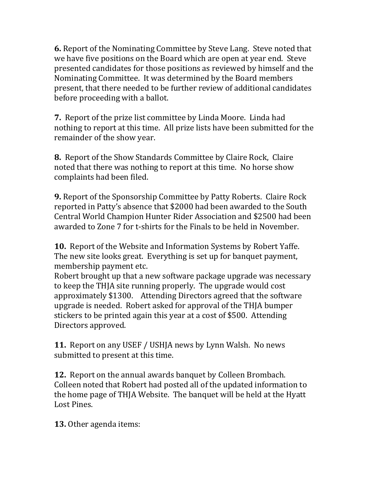**6.** Report of the Nominating Committee by Steve Lang. Steve noted that we have five positions on the Board which are open at year end. Steve presented candidates for those positions as reviewed by himself and the Nominating Committee. It was determined by the Board members present, that there needed to be further review of additional candidates before proceeding with a ballot.

**7.** Report of the prize list committee by Linda Moore. Linda had nothing to report at this time. All prize lists have been submitted for the remainder of the show year.

**8.** Report of the Show Standards Committee by Claire Rock, Claire noted that there was nothing to report at this time. No horse show complaints had been filed.

**9.** Report of the Sponsorship Committee by Patty Roberts. Claire Rock reported in Patty's absence that \$2000 had been awarded to the South Central World Champion Hunter Rider Association and \$2500 had been awarded to Zone 7 for t-shirts for the Finals to be held in November.

**10.** Report of the Website and Information Systems by Robert Yaffe. The new site looks great. Everything is set up for banquet payment, membership payment etc.

Robert brought up that a new software package upgrade was necessary to keep the THJA site running properly. The upgrade would cost approximately \$1300. Attending Directors agreed that the software upgrade is needed. Robert asked for approval of the THJA bumper stickers to be printed again this year at a cost of \$500. Attending Directors approved.

**11.** Report on any USEF / USHJA news by Lynn Walsh. No news submitted to present at this time.

**12.** Report on the annual awards banquet by Colleen Brombach. Colleen noted that Robert had posted all of the updated information to the home page of THJA Website. The banquet will be held at the Hyatt Lost Pines.

**13.** Other agenda items: